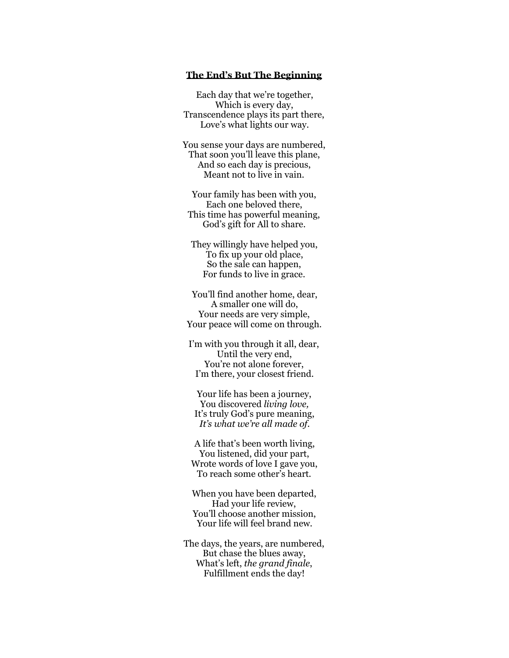## **The End's But The Beginning**

Each day that we're together, Which is every day, Transcendence plays its part there, Love's what lights our way.

You sense your days are numbered, That soon you'll leave this plane, And so each day is precious, Meant not to live in vain.

Your family has been with you, Each one beloved there, This time has powerful meaning, God's gift for All to share.

They willingly have helped you, To fix up your old place, So the sale can happen, For funds to live in grace.

You'll find another home, dear, A smaller one will do, Your needs are very simple, Your peace will come on through.

I'm with you through it all, dear, Until the very end, You're not alone forever, I'm there, your closest friend.

Your life has been a journey, You discovered *living love,* It's truly God's pure meaning, *It's what we're all made of.* 

A life that's been worth living, You listened, did your part, Wrote words of love I gave you, To reach some other's heart.

When you have been departed, Had your life review, You'll choose another mission. Your life will feel brand new.

The days, the years, are numbered, But chase the blues away, What's left, *the grand finale*, Fulfillment ends the day!